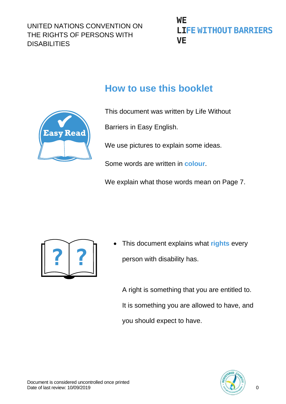## WF **LIFE WITHOUT BARRIERS VE**

# **How to use this booklet**



This document was written by Life Without

Barriers in Easy English.

We use pictures to explain some ideas.

Some words are written in **colour**.

We explain what those words mean on Page 7.



• This document explains what **rights** every person with disability has.

A right is something that you are entitled to. It is something you are allowed to have, and you should expect to have.

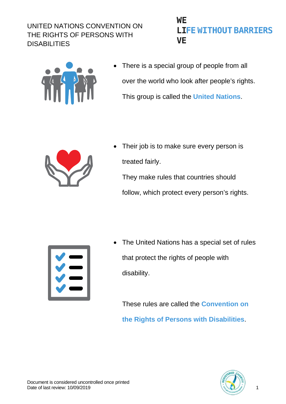## **WE LIFE WITHOUT BARRIERS VE**



There is a special group of people from all over the world who look after people's rights. This group is called the **United Nations**.



Their job is to make sure every person is treated fairly. They make rules that countries should follow, which protect every person's rights.



• The United Nations has a special set of rules that protect the rights of people with disability.

These rules are called the **Convention on the Rights of Persons with Disabilities**.

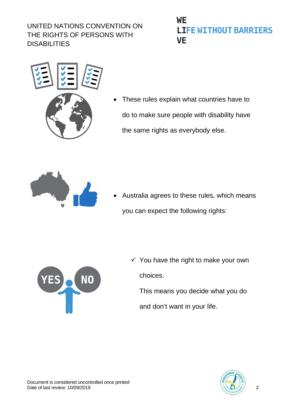## **WE LIFE WITHOUT BARRIERS VE**



These rules explain what countries have to do to make sure people with disability have the same rights as everybody else.



• Australia agrees to these rules, which means you can expect the following rights:



 $\checkmark$  You have the right to make your own choices. This means you decide what you do

and don't want in your life.

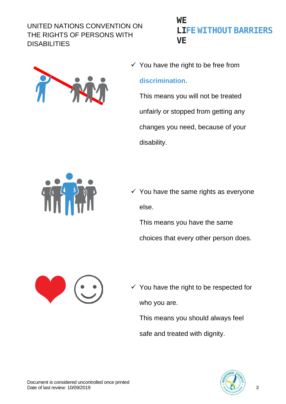

## WF **LIFE WITHOUT BARRIERS VE**

 $\checkmark$  You have the right to be free from

#### **discrimination**.

This means you will not be treated unfairly or stopped from getting any changes you need, because of your disability.



 $\checkmark$  You have the same rights as everyone else.

This means you have the same choices that every other person does.



 $\checkmark$  You have the right to be respected for who you are.

This means you should always feel

safe and treated with dignity.

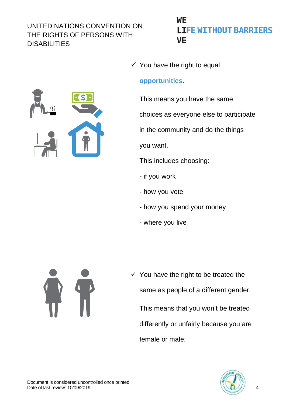## WF **LIFE WITHOUT BARRIERS VE**

### $\checkmark$  You have the right to equal

#### **opportunities**.

This means you have the same

choices as everyone else to participate

in the community and do the things

you want.

This includes choosing:

- if you work
- how you vote
- how you spend your money
- where you live



 $\checkmark$  You have the right to be treated the same as people of a different gender. This means that you won't be treated differently or unfairly because you are female or male.

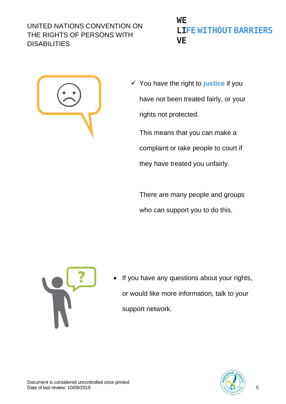## **WE LIFE WITHOUT BARRIERS VE**



 You have the right to **justice** if you have not been treated fairly, or your rights not protected.

This means that you can make a complaint or take people to court if they have treated you unfairly.

There are many people and groups who can support you to do this.



• If you have any questions about your rights, or would like more information, talk to your support network.

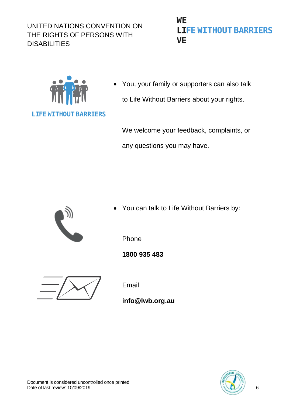## **WE LIFE WITHOUT BARRIERS VE**



• You, your family or supporters can also talk to Life Without Barriers about your rights.

We welcome your feedback, complaints, or any questions you may have.



• You can talk to Life Without Barriers by:



**1800 935 483**

Email

**info@lwb.org.au**